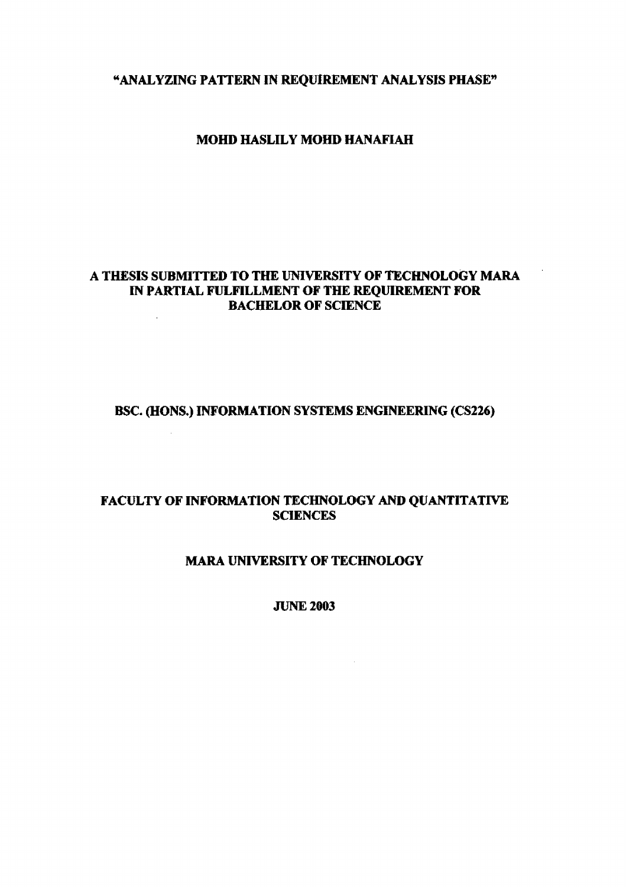**"ANALYZING PATTERN IN REQUIREMENT ANALYSIS PHASE\*** 

## **MOHD HASLILY MOHD HANAFIAH**

## **A THESIS SUBMITTED TO THE UNIVERSITY OF TECHNOLOGY MARA IN PARTIAL FULFILLMENT OF THE REQUIREMENT FOR BACHELOR OF SCIENCE**

## **BSC. (HONS.) INFORMATION SYSTEMS ENGINEERING (CS226)**

# **FACULTY OF INFORMATION TECHNOLOGY AND QUANTITATIVE SCIENCES**

## **MARA UNIVERSITY OF TECHNOLOGY**

**JUNE 2003**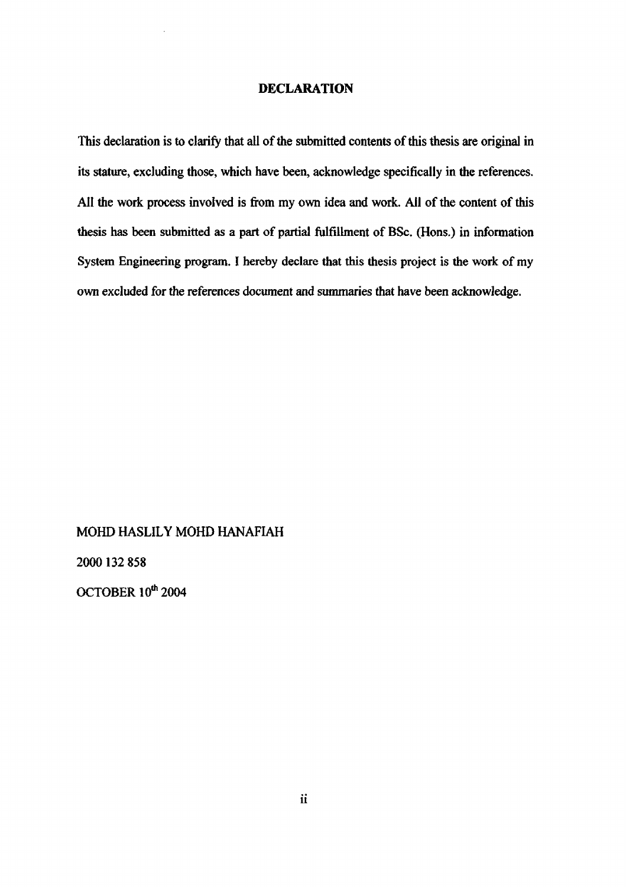## **DECLARATION**

This declaration is to clarify that all of the submitted contents of this thesis are original in its stature, excluding those, which have been, acknowledge specifically in the references. All the work process involved is from my own idea and work. All of the content of this thesis has been submitted as a part of partial fulfillment of BSc. (Hons.) in information System Engineering program. I hereby declare that this thesis project is the work of my own excluded for the references document and summaries that have been acknowledge.

## MOHD HASLILY MOHD HANAFIAH

2000132 858

OCTOBER 10<sup>th</sup> 2004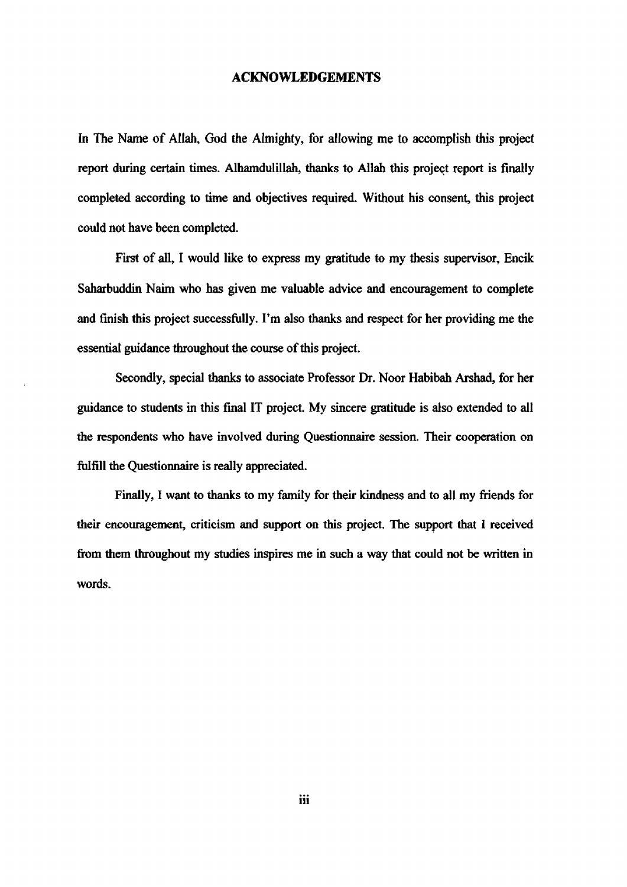### **ACKNOWLEDGEMENTS**

**In** The Name of Allah, God the Almighty, for allowing me to accomplish this project report during certain times. Alhamdulillah, thanks to Allah this project report is finally completed according to time and objectives required. Without his consent, this project could not have been completed.

First of all, I would like to express my gratitude to my thesis supervisor, Encik Saharbuddin Naim who has given me valuable advice and encouragement to complete and finish this project successfully. I'm also thanks and respect for her providing me the essential guidance throughout the course of this project.

Secondly, special thanks to associate Professor Dr. Noor Habibah Arshad, for her guidance to students in this final IT project. My sincere gratitude is also extended to all the respondents who have involved during Questionnaire session. Their cooperation on fulfill the Questionnaire is really appreciated.

Finally, I want to thanks to my family for their kindness and to all my friends for their encouragement, criticism and support on this project. The support that I received from them throughout my studies inspires me in such a way that could not be written in words.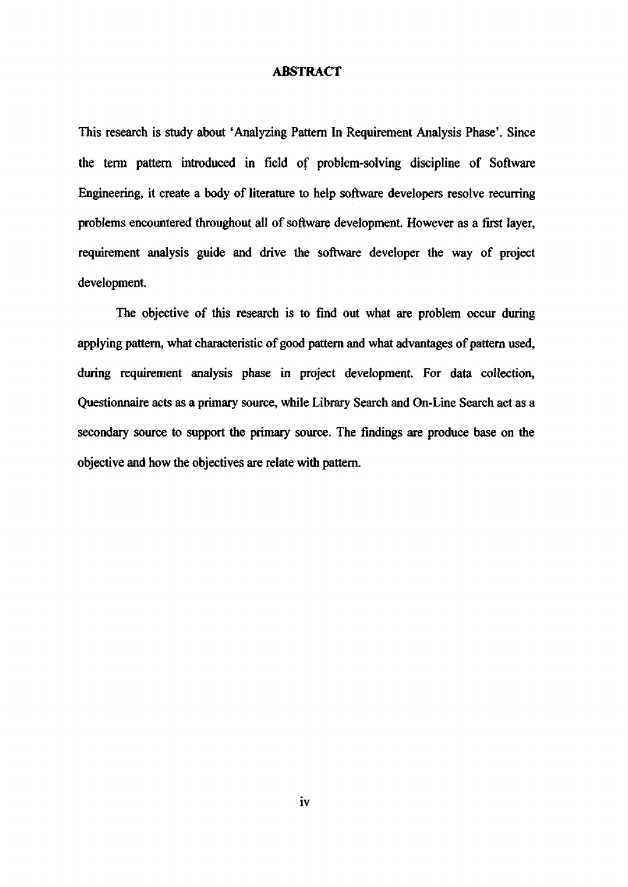### **ABSTRACT**

This research is study about 'Analyzing Pattern In Requirement Analysis Phase'. Since the term pattern introduced in field of problem-solving discipline of Software Engineering, it create a body of literature to help software developers resolve recurring problems encountered throughout all of software development. However as a first layer, requirement analysis guide and drive the software developer the way of project development.

The objective of this research is to find out what are problem occur during applying pattern, what characteristic of good pattern and what advantages of pattern used, during requirement analysis phase in project development. For data collection, Questionnaire acts as a primary source, while Library Search and On-Line Search act as a secondary source to support the primary source. The findings are produce base on the objective and how the objectives are relate with pattern.